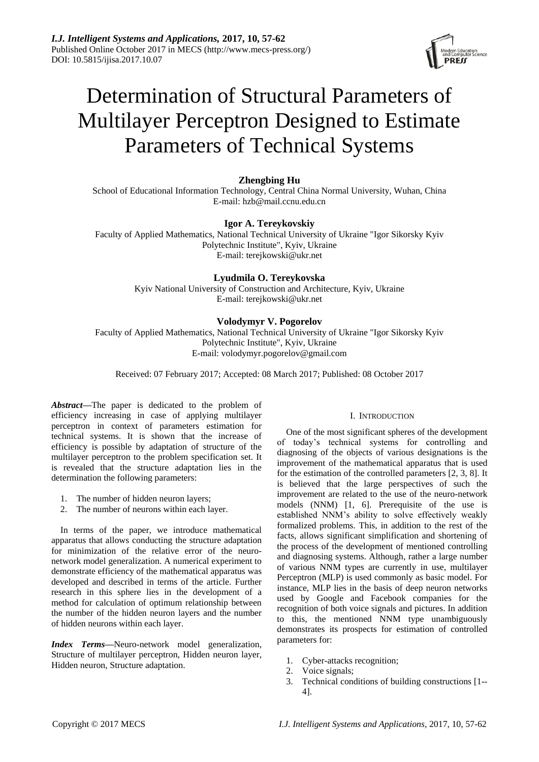

# Determination of Structural Parameters of Multilayer Perceptron Designed to Estimate Parameters of Technical Systems

## **Zhengbing Hu**

School of Educational Information Technology, Central China Normal University, Wuhan, China E-mail: hzb@mail.ccnu.edu.cn

## **Igor A. Tereykovskiy**

Faculty of Applied Mathematics, National Technical University of Ukraine "Igor Sikorsky Kyiv Polytechnic Institute", Kyiv, Ukraine E-mail: terejkowski@ukr.net

## **Lyudmila O. Tereykovska**

Kyiv National University of Construction and Architecture, Kyiv, Ukraine E-mail: terejkowski@ukr.net

# **Volodymyr V. Pogorelov**

Faculty of Applied Mathematics, National Technical University of Ukraine "Igor Sikorsky Kyiv Polytechnic Institute", Kyiv, Ukraine E-mail: volodymyr.pogorelov@gmail.com

Received: 07 February 2017; Accepted: 08 March 2017; Published: 08 October 2017

*Abstract***—**The paper is dedicated to the problem of efficiency increasing in case of applying multilayer perceptron in context of parameters estimation for technical systems. It is shown that the increase of efficiency is possible by adaptation of structure of the multilayer perceptron to the problem specification set. It is revealed that the structure adaptation lies in the determination the following parameters:

- 1. The number of hidden neuron layers;
- 2. The number of neurons within each layer.

In terms of the paper, we introduce mathematical apparatus that allows conducting the structure adaptation for minimization of the relative error of the neuronetwork model generalization. A numerical experiment to demonstrate efficiency of the mathematical apparatus was developed and described in terms of the article. Further research in this sphere lies in the development of a method for calculation of optimum relationship between the number of the hidden neuron layers and the number of hidden neurons within each layer.

*Index Terms***—**Neuro-network model generalization, Structure of multilayer perceptron, Hidden neuron layer, Hidden neuron, Structure adaptation.

### I. INTRODUCTION

One of the most significant spheres of the development of today's technical systems for controlling and diagnosing of the objects of various designations is the improvement of the mathematical apparatus that is used for the estimation of the controlled parameters [2, 3, 8]. It is believed that the large perspectives of such the improvement are related to the use of the neuro-network models (NNM) [1, 6]. Prerequisite of the use is established NNM's ability to solve effectively weakly formalized problems. This, in addition to the rest of the facts, allows significant simplification and shortening of the process of the development of mentioned controlling and diagnosing systems. Although, rather a large number of various NNM types are currently in use, multilayer Perceptron (MLP) is used commonly as basic model. For instance, MLP lies in the basis of deep neuron networks used by Google and Facebook companies for the recognition of both voice signals and pictures. In addition to this, the mentioned NNM type unambiguously demonstrates its prospects for estimation of controlled parameters for:

- 1. Cyber-attacks recognition;
- 2. Voice signals;
- 3. Technical conditions of building constructions [1-- 4].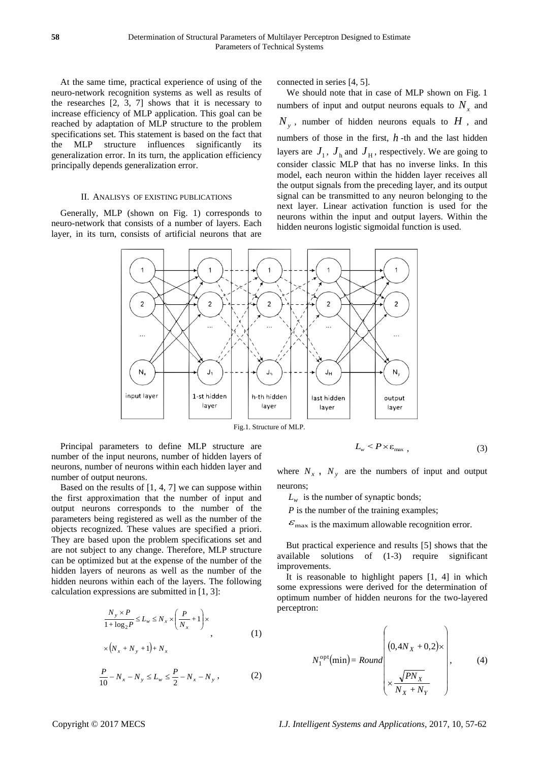At the same time, practical experience of using of the neuro-network recognition systems as well as results of the researches [2, 3, 7] shows that it is necessary to increase efficiency of MLP application. This goal can be reached by adaptation of MLP structure to the problem specifications set. This statement is based on the fact that the MLP structure influences significantly its generalization error. In its turn, the application efficiency principally depends generalization error.

#### II. ANALISYS OF EXISTING PUBLICATIONS

Generally, MLP (shown on Fig. 1) corresponds to neuro-network that consists of a number of layers. Each layer, in its turn, consists of artificial neurons that are connected in series [4, 5].

We should note that in case of MLP shown on Fig. 1 numbers of input and output neurons equals to  $N_x$  and  $N_y$ , number of hidden neurons equals to  $H$ , and numbers of those in the first, *h* -th and the last hidden layers are  $J_1$ ,  $J_h$  and  $J_H$ , respectively. We are going to consider classic MLP that has no inverse links. In this model, each neuron within the hidden layer receives all the output signals from the preceding layer, and its output signal can be transmitted to any neuron belonging to the next layer. Linear activation function is used for the neurons within the input and output layers. Within the hidden neurons logistic sigmoidal function is used.



Principal parameters to define MLP structure are number of the input neurons, number of hidden layers of neurons, number of neurons within each hidden layer and number of output neurons.

Based on the results of  $[1, 4, 7]$  we can suppose within the first approximation that the number of input and output neurons corresponds to the number of the parameters being registered as well as the number of the objects recognized. These values are specified a priori. They are based upon the problem specifications set and are not subject to any change. Therefore, MLP structure can be optimized but at the expense of the number of the hidden layers of neurons as well as the number of the hidden neurons within each of the layers. The following calculation expressions are submitted in [1, 3]:

$$
\frac{N_{y} \times P}{1 + \log_{2} P} \le L_{w} \le N_{x} \times \left(\frac{P}{N_{x}} + 1\right) \times \left(\frac{N_{x} + N_{y} + 1}{N_{x}}\right) \tag{1}
$$

$$
\frac{P}{10} - N_x - N_y \le L_w \le \frac{P}{2} - N_x - N_y,
$$
 (2)

$$
L_{w} < P \times \varepsilon_{\text{max}} \tag{3}
$$

where  $N_x$ ,  $N_y$  are the numbers of input and output neurons;

 $L_w$  is the number of synaptic bonds;

*P* is the number of the training examples;

 $\varepsilon_{\text{max}}$  is the maximum allowable recognition error.

But practical experience and results [5] shows that the available solutions of (1-3) require significant improvements.

It is reasonable to highlight papers [1, 4] in which some expressions were derived for the determination of optimum number of hidden neurons for the two-layered perceptron:

$$
N_1^{\text{opt}}(\min) = Round \left( \frac{(0, 4N_X + 0, 2) \times}{\sqrt{PN_X} \times \frac{\sqrt{PN_X}}{N_X + N_Y}} \right),
$$
 (4)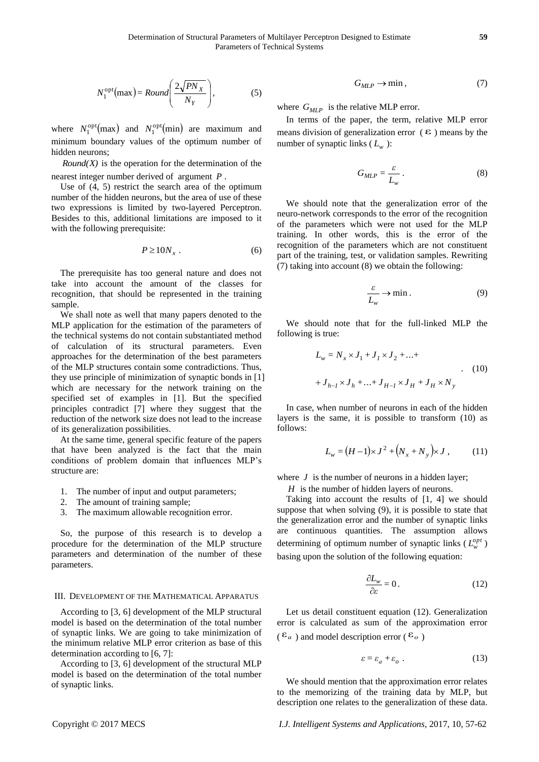$$
N_1^{\text{opt}}(\text{max}) = Round\left(\frac{2\sqrt{PN_X}}{N_Y}\right),\tag{5}
$$

where  $N_1^{\text{opt}}(\text{max})$  and  $N_1^{\text{opt}}(\text{min})$  are maximum and minimum boundary values of the optimum number of hidden neurons;

*Round(X)* is the operation for the determination of the nearest integer number derived of argument *P* .

Use of (4, 5) restrict the search area of the optimum number of the hidden neurons, but the area of use of these two expressions is limited by two-layered Perceptron. Besides to this, additional limitations are imposed to it with the following prerequisite:

$$
P \ge 10N_x \ . \tag{6}
$$

The prerequisite has too general nature and does not take into account the amount of the classes for recognition, that should be represented in the training sample.

 $N_1^{(2)}$ (mot) = Atomic  $N_2^{(2)}$ (mot) =  $N_2^{(2)}$ (met) are receiver and the basis of the website MLP energy interlevents.<br>
Intelligent Systems and V/<sup>2</sup>/<sup>2</sup>(met) are receiver and a single distant of the particular interv We shall note as well that many papers denoted to the MLP application for the estimation of the parameters of the technical systems do not contain substantiated method of calculation of its structural parameters. Even approaches for the determination of the best parameters of the MLP structures contain some contradictions. Thus, they use principle of minimization of synaptic bonds in [1] which are necessary for the network training on the specified set of examples in [1]. But the specified principles contradict [7] where they suggest that the reduction of the network size does not lead to the increase of its generalization possibilities.

At the same time, general specific feature of the papers that have been analyzed is the fact that the main conditions of problem domain that influences MLP's structure are:

- 1. The number of input and output parameters;
- 2. The amount of training sample;
- 3. The maximum allowable recognition error.

So, the purpose of this research is to develop a procedure for the determination of the MLP structure parameters and determination of the number of these parameters.

#### III. DEVELOPMENT OF THE MATHEMATICAL APPARATUS

According to [3, 6] development of the MLP structural model is based on the determination of the total number of synaptic links. We are going to take minimization of the minimum relative MLP error criterion as base of this determination according to [6, 7]:

According to [3, 6] development of the structural MLP model is based on the determination of the total number of synaptic links.

$$
G_{MLP} \to \min{,\tag{7}}
$$

where  $G_{MLP}$  is the relative MLP error.

In terms of the paper, the term, relative MLP error means division of generalization error  $(\epsilon)$  means by the number of synaptic links  $(L_w)$ :

$$
G_{MLP} = \frac{\varepsilon}{L_w} \,. \tag{8}
$$

We should note that the generalization error of the neuro-network corresponds to the error of the recognition of the parameters which were not used for the MLP training. In other words, this is the error of the recognition of the parameters which are not constituent part of the training, test, or validation samples. Rewriting (7) taking into account (8) we obtain the following:

$$
\frac{\varepsilon}{L_w} \to \min. \tag{9}
$$

We should note that for the full-linked MLP the following is true:

$$
L_w = N_x \times J_1 + J_1 \times J_2 + ... +
$$
  
+  $J_{h-1} \times J_h + ... + J_{H-1} \times J_H + J_H \times N_y$  (10)

In case, when number of neurons in each of the hidden layers is the same, it is possible to transform (10) as follows:

$$
L_w = (H-1) \times J^2 + (N_x + N_y) \times J , \qquad (11)
$$

where  $J$  is the number of neurons in a hidden layer;

*H* is the number of hidden layers of neurons.

Taking into account the results of [1, 4] we should suppose that when solving (9), it is possible to state that the generalization error and the number of synaptic links are continuous quantities. The assumption allows determining of optimum number of synaptic links ( $L_w^{opt}$ ) basing upon the solution of the following equation:

$$
\frac{\partial L_w}{\partial \varepsilon} = 0. \tag{12}
$$

Let us detail constituent equation (12). Generalization error is calculated as sum of the approximation error  $(\varepsilon_a)$  and model description error  $(\varepsilon_a)$  $\mathbf{E}_o$   $\left|$ 

$$
\varepsilon = \varepsilon_a + \varepsilon_o \tag{13}
$$

We should mention that the approximation error relates to the memorizing of the training data by MLP, but description one relates to the generalization of these data.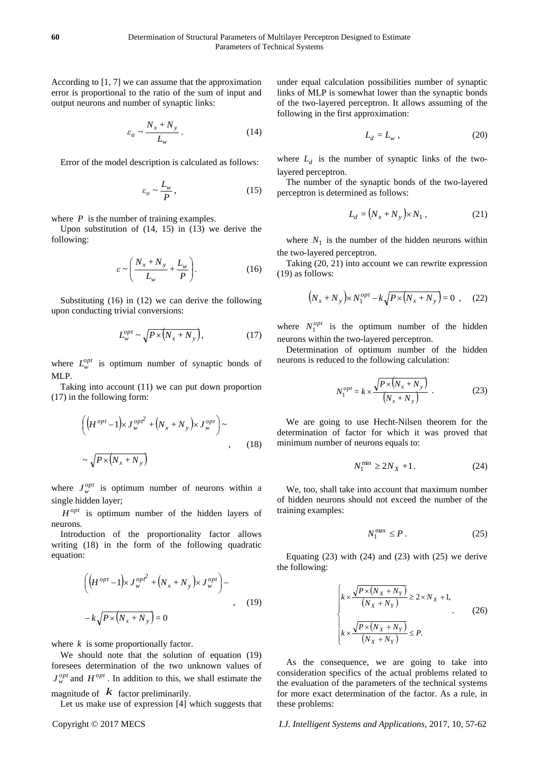According to [1, 7] we can assume that the approximation error is proportional to the ratio of the sum of input and output neurons and number of synaptic links:

$$
\varepsilon_a \sim \frac{N_x + N_y}{L_w} \,. \tag{14}
$$

Error of the model description is calculated as follows:

$$
\varepsilon_o \sim \frac{L_w}{P},\tag{15}
$$

where  $P$  is the number of training examples.

Upon substitution of (14, 15) in (13) we derive the following:

$$
\varepsilon \sim \left(\frac{N_x + N_y}{L_w} + \frac{L_w}{P}\right). \tag{16}
$$

Substituting (16) in (12) we can derive the following upon conducting trivial conversions:

$$
L_{w}^{opt} \sim \sqrt{P \times \left(N_{x} + N_{y}\right)},\tag{17}
$$

where  $L_w^{opt}$  is optimum number of synaptic bonds of MLP.

Taking into account (11) we can put down proportion (17) in the following form:

$$
\left( \left( H^{opt} - 1 \right) \times J_w^{op^2} + \left( N_x + N_y \right) \times J_w^{opt} \right) \sim
$$
\n
$$
\sim \sqrt{P \times \left( N_x + N_y \right)} \tag{18}
$$

where  $J_w^{opt}$  is optimum number of neurons within a single hidden layer;

 $H^{opt}$  is optimum number of the hidden layers of neurons.

Introduction of the proportionality factor allows writing (18) in the form of the following quadratic equation:

$$
\left( \left( H^{opt} - 1 \right) \times J_w^{op}^2 + \left( N_x + N_y \right) \times J_w^{opt} \right) -
$$
  

$$
- k \sqrt{P \times \left( N_x + N_y \right)} = 0
$$
 (19)

where  $k$  is some proportionally factor.

We should note that the solution of equation (19) foresees determination of the two unknown values of  $J_w^{opt}$  and  $H^{opt}$ . In addition to this, we shall estimate the magnitude of  $\overline{k}$  factor preliminarily. The evaluation of the evaluation of the evaluation of the evaluation of the evaluation of the evaluation of the evaluation of the evaluation of the evaluation of the evaluation of

Let us make use of expression [4] which suggests that

under equal calculation possibilities number of synaptic links of MLP is somewhat lower than the synaptic bonds of the two-layered perceptron. It allows assuming of the following in the first approximation:

$$
L_d = L_w \t\t(20)
$$

where  $L_d$  is the number of synaptic links of the twolayered perceptron.

The number of the synaptic bonds of the two-layered perceptron is determined as follows:

$$
L_d = (N_x + N_y) \times N_1, \qquad (21)
$$

where  $N_1$  is the number of the hidden neurons within the two-layered perceptron.

Taking (20, 21) into account we can rewrite expression (19) as follows:

$$
(N_x + N_y) \times N_1^{opt} - k \sqrt{P \times (N_x + N_y)} = 0 , \quad (22)
$$

where  $N_1^{opt}$  is the optimum number of the hidden neurons within the two-layered perceptron.

Determination of optimum number of the hidden neurons is reduced to the following calculation:

$$
N_1^{opt} = k \times \frac{\sqrt{P \times (N_x + N_y)}}{(N_x + N_y)} \tag{23}
$$

We are going to use Hecht-Nilsen theorem for the determination of factor for which it was proved that minimum number of neurons equals to:

$$
N_1^{\min} \ge 2N_X + 1. \tag{24}
$$

We, too, shall take into account that maximum number of hidden neurons should not exceed the number of the training examples:

$$
N_1^{\max} \le P. \tag{25}
$$

Equating  $(23)$  with  $(24)$  and  $(23)$  with  $(25)$  we derive the following:

$$
\begin{cases} k \times \frac{\sqrt{P \times (N_X + N_Y)}}{(N_X + N_Y)} \ge 2 \times N_X + 1, \\ k \times \frac{\sqrt{P \times (N_X + N_Y)}}{(N_X + N_Y)} \le P. \end{cases}
$$
 (26)

As the consequence, we are going to take into consideration specifics of the actual problems related to the evaluation of the parameters of the technical systems for more exact determination of the factor. As a rule, in these problems:

## Copyright © 2017 MECS *I.J. Intelligent Systems and Applications,* 2017, 10, 57-62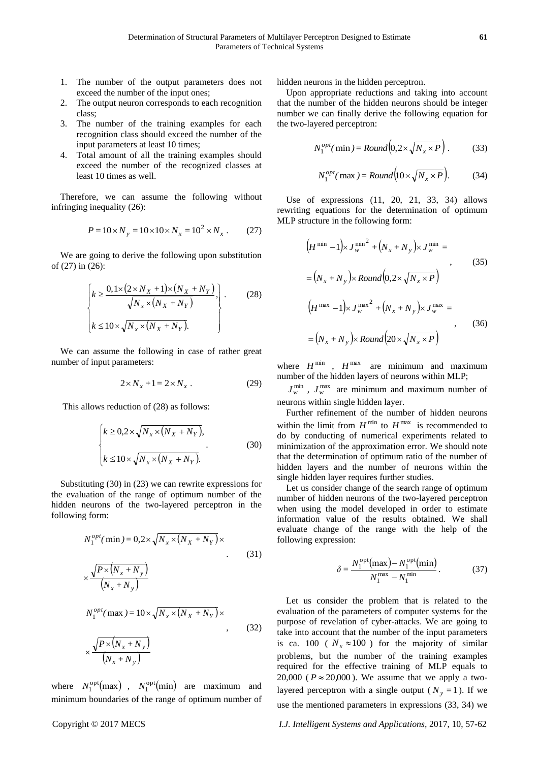- 1. The number of the output parameters does not exceed the number of the input ones;
- 2. The output neuron corresponds to each recognition class;
- 3. The number of the training examples for each recognition class should exceed the number of the input parameters at least 10 times;
- 4. Total amount of all the training examples should exceed the number of the recognized classes at least 10 times as well.

Therefore, we can assume the following without infringing inequality (26):

$$
P = 10 \times N_y = 10 \times 10 \times N_x = 10^2 \times N_x \ . \tag{27}
$$

We are going to derive the following upon substitution of (27) in (26):

$$
\begin{cases} k \ge \frac{0, 1 \times (2 \times N_X + 1) \times (N_X + N_Y)}{\sqrt{N_X \times (N_X + N_Y)}}, \\ k \le 10 \times \sqrt{N_X \times (N_X + N_Y)}. \end{cases}
$$
 (28)

We can assume the following in case of rather great number of input parameters:

$$
2 \times N_x + 1 = 2 \times N_x \tag{29}
$$

This allows reduction of (28) as follows:

$$
\begin{cases} k \ge 0, & 2 \times \sqrt{N_x \times (N_x + N_Y)}, \\ k \le 10 \times \sqrt{N_x \times (N_x + N_Y)}. \end{cases}
$$
 (30)

Substituting (30) in (23) we can rewrite expressions for the evaluation of the range of optimum number of the hidden neurons of the two-layered perceptron in the following form:

$$
N_1^{opt}(\min) = 0, 2 \times \sqrt{N_x \times (N_X + N_Y)} \times
$$
\n
$$
\times \frac{\sqrt{P \times (N_x + N_y)}}{(N_x + N_y)}
$$
\n
$$
N_1^{opt}(\max) = 10 \times \sqrt{N_x \times (N_X + N_Y)} \times
$$
\n
$$
\times \frac{\sqrt{P \times (N_x + N_y)}}{(N_x + N_y)}
$$
\n(32)

where  $N_1^{\text{opt}}(\text{max})$ ,  $N_1^{\text{opt}}(\text{min})$  are maximum and minimum boundaries of the range of optimum number of

hidden neurons in the hidden perceptron.

Upon appropriate reductions and taking into account that the number of the hidden neurons should be integer number we can finally derive the following equation for the two-layered perceptron:

$$
N_1^{opt}(\min) = Round\left(0, 2 \times \sqrt{N_x \times P}\right). \tag{33}
$$

$$
N_1^{opt}(\max) = Round(10 \times \sqrt{N_x \times P}).
$$
 (34)

Use of expressions (11, 20, 21, 33, 34) allows rewriting equations for the determination of optimum MLP structure in the following form:

$$
(H^{\min} - 1) \times J_w^{\min^2} + (N_x + N_y) \times J_w^{\min} =
$$
  
\n
$$
= (N_x + N_y) \times Round(0, 2 \times \sqrt{N_x \times P})
$$
  
\n
$$
(H^{\max} - 1) \times J_w^{\max^2} + (N_x + N_y) \times J_w^{\max} =
$$
  
\n
$$
= (N_x + N_y) \times Round(20 \times \sqrt{N_x \times P})
$$
  
\n(36)

where  $H^{\text{min}}$ ,  $H^{\text{max}}$  are minimum and maximum number of the hidden layers of neurons within MLP;

 $J_w^{\min}$ ,  $J_w^{\max}$  are minimum and maximum number of neurons within single hidden layer.

Further refinement of the number of hidden neurons within the limit from  $H^{\text{min}}$  to  $H^{\text{max}}$  is recommended to do by conducting of numerical experiments related to minimization of the approximation error. We should note that the determination of optimum ratio of the number of hidden layers and the number of neurons within the single hidden layer requires further studies.

Let us consider change of the search range of optimum number of hidden neurons of the two-layered perceptron when using the model developed in order to estimate information value of the results obtained. We shall evaluate change of the range with the help of the following expression:

$$
\delta = \frac{N_1^{\text{opt}}(\text{max}) - N_1^{\text{opt}}(\text{min})}{N_1^{\text{max}} - N_1^{\text{min}}}.
$$
 (37)

Let us consider the problem that is related to the evaluation of the parameters of computer systems for the purpose of revelation of cyber-attacks. We are going to take into account that the number of the input parameters is ca. 100 ( $N_x \approx 100$ ) for the majority of similar problems, but the number of the training examples required for the effective training of MLP equals to 20,000 ( $P \approx 20,000$ ). We assume that we apply a twolayered perceptron with a single output ( $N_y = 1$ ). If we use the mentioned parameters in expressions (33, 34) we

Copyright © 2017 MECS *I.J. Intelligent Systems and Applications,* 2017, 10, 57-62